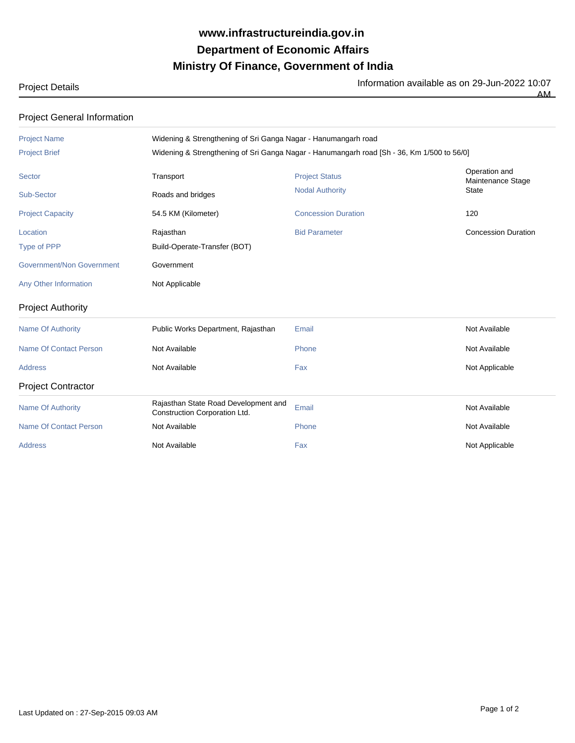## **Ministry Of Finance, Government of India Department of Economic Affairs www.infrastructureindia.gov.in**

## Project Details

Information available as on 29-Jun-2022 10:07

AM

## Project General Information

| <b>Project Name</b><br><b>Project Brief</b>                                 | Widening & Strengthening of Sri Ganga Nagar - Hanumangarh road<br>Widening & Strengthening of Sri Ganga Nagar - Hanumangarh road [Sh - 36, Km 1/500 to 56/0] |                                                                               |                                                           |  |
|-----------------------------------------------------------------------------|--------------------------------------------------------------------------------------------------------------------------------------------------------------|-------------------------------------------------------------------------------|-----------------------------------------------------------|--|
| Sector<br>Sub-Sector<br><b>Project Capacity</b>                             | Transport<br>Roads and bridges<br>54.5 KM (Kilometer)                                                                                                        | <b>Project Status</b><br><b>Nodal Authority</b><br><b>Concession Duration</b> | Operation and<br>Maintenance Stage<br><b>State</b><br>120 |  |
| Location<br>Type of PPP<br>Government/Non Government                        | Rajasthan<br>Build-Operate-Transfer (BOT)<br>Government                                                                                                      | <b>Bid Parameter</b>                                                          | <b>Concession Duration</b>                                |  |
| Any Other Information<br><b>Project Authority</b>                           | Not Applicable                                                                                                                                               |                                                                               |                                                           |  |
| <b>Name Of Authority</b><br><b>Name Of Contact Person</b><br><b>Address</b> | Public Works Department, Rajasthan<br>Not Available<br>Not Available                                                                                         | Email<br>Phone<br>Fax                                                         | Not Available<br>Not Available<br>Not Applicable          |  |
| <b>Project Contractor</b>                                                   | Rajasthan State Road Development and                                                                                                                         |                                                                               |                                                           |  |
| <b>Name Of Authority</b><br><b>Name Of Contact Person</b><br><b>Address</b> | Construction Corporation Ltd.<br>Not Available<br>Not Available                                                                                              | Email<br>Phone<br>Fax                                                         | Not Available<br>Not Available<br>Not Applicable          |  |